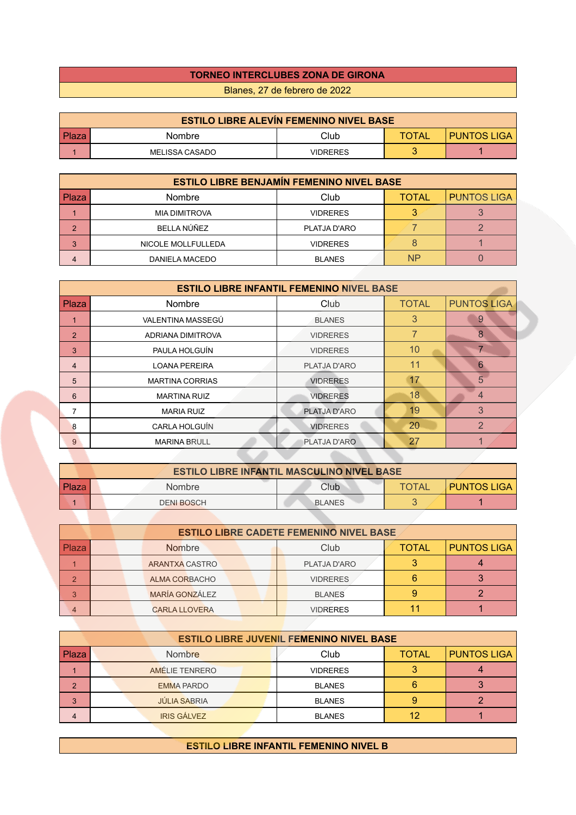## **TORNEO INTERCLUBES ZONA DE GIRONA**

Blanes, 27 de febrero de 2022

| <b>ESTILO LIBRE ALEVÍN FEMENINO NIVEL BASE</b> |                       |          |              |                    |  |
|------------------------------------------------|-----------------------|----------|--------------|--------------------|--|
| <b>Plaza</b>                                   | Nombre                | Club     | <b>TOTAL</b> | <b>PUNTOS LIGA</b> |  |
|                                                | <b>MELISSA CASADO</b> | VIDRERES |              |                    |  |

| <b>ESTILO LIBRE BENJAMÍN FEMENINO NIVEL BASE</b> |                    |                 |              |                    |  |
|--------------------------------------------------|--------------------|-----------------|--------------|--------------------|--|
| <b>Plaza</b>                                     | <b>Nombre</b>      | Club            | <b>TOTAL</b> | <b>PUNTOS LIGA</b> |  |
|                                                  | MIA DIMITROVA      | <b>VIDRERES</b> |              |                    |  |
| 2                                                | BELLA NÚÑEZ        | PLATJA D'ARO    |              |                    |  |
| 3                                                | NICOLE MOLLFULLEDA | <b>VIDRERES</b> |              |                    |  |
| 4                                                | DANIELA MACEDO     | <b>BLANES</b>   | <b>NP</b>    |                    |  |

| <b>ESTILO LIBRE INFANTIL FEMENINO NIVEL BASE</b> |                        |                 |                 |                    |
|--------------------------------------------------|------------------------|-----------------|-----------------|--------------------|
| Plaza                                            | Nombre                 | Club            | <b>TOTAL</b>    | <b>PUNTOS LIGA</b> |
|                                                  | VALENTINA MASSEGÚ      | <b>BLANES</b>   | 3               | 9                  |
| $\overline{2}$                                   | ADRIANA DIMITROVA      | <b>VIDRERES</b> |                 | $\overline{8}$     |
| 3                                                | PAULA HOLGUÍN          | <b>VIDRERES</b> | 10 <sup>1</sup> |                    |
| $\overline{4}$                                   | <b>LOANA PEREIRA</b>   | PLATJA D'ARO    | 11              | 6                  |
| 5                                                | <b>MARTINA CORRIAS</b> | <b>VIDRERES</b> | 17              | 5                  |
| 6                                                | <b>MARTINA RUIZ</b>    | <b>VIDRERES</b> | 18              | 4                  |
|                                                  | <b>MARIA RUIZ</b>      | PLATJA D'ARO    | 19              | 3                  |
| 8                                                | CARLA HOLGUÍN          | <b>VIDRERES</b> | 20              | $\overline{2}$     |
| 9                                                | <b>MARINA BRULL</b>    | PLATJA D'ARO    | 27              |                    |
|                                                  |                        |                 |                 |                    |

| <b>ESTILO LIBRE INFANTIL MASCULINO NIVEL BASE</b> |  |                   |               |              |                    |
|---------------------------------------------------|--|-------------------|---------------|--------------|--------------------|
| l Plaza                                           |  | Nombre            | Club          | <b>TOTAL</b> | <b>PUNTOS LIGA</b> |
|                                                   |  | <b>DENI BOSCH</b> | <b>BLANES</b> |              |                    |

|                | <b>ESTILO LIBRE CADETE FEMENINO NIVEL BASE</b> |  |                       |                 |              |                    |
|----------------|------------------------------------------------|--|-----------------------|-----------------|--------------|--------------------|
| Plaza          |                                                |  | <b>Nombre</b>         | Club            | <b>TOTAL</b> | <b>PUNTOS LIGA</b> |
|                |                                                |  | ARANTXA CASTRO        | PLATJA D'ARO    |              |                    |
| $\overline{2}$ |                                                |  | ALMA CORBACHO         | <b>VIDRERES</b> |              |                    |
| 3              |                                                |  | <b>MARÍA GONZÁLEZ</b> | <b>BLANES</b>   |              |                    |
| 4              |                                                |  | <b>CARLA LLOVERA</b>  | <b>VIDRERES</b> |              |                    |

| <b>ESTILO LIBRE JUVENIL FEMENINO NIVEL BASE</b> |                     |                 |              |                    |  |
|-------------------------------------------------|---------------------|-----------------|--------------|--------------------|--|
| Plaza                                           | <b>Nombre</b>       | Club            | <b>TOTAL</b> | <b>PUNTOS LIGA</b> |  |
|                                                 | AMÉLIE TENRERO      | <b>VIDRERES</b> |              |                    |  |
| 2                                               | <b>EMMA PARDO</b>   | <b>BLANES</b>   |              |                    |  |
| 3                                               | <b>JÚLIA SABRIA</b> | <b>BLANES</b>   |              |                    |  |
|                                                 | <b>IRIS GÁLVEZ</b>  | <b>BLANES</b>   | 12           |                    |  |

**ESTILO LIBRE INFANTIL FEMENINO NIVEL B**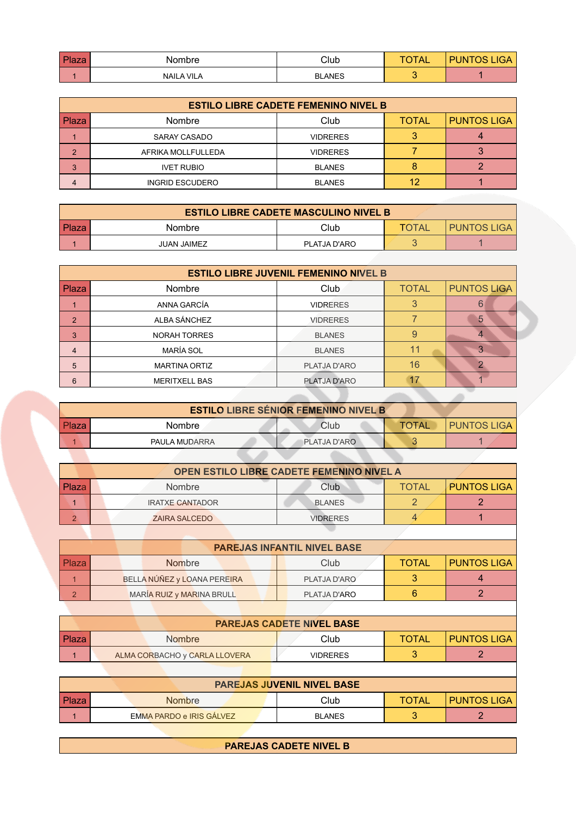| $D = -$<br>ıa∠a | Nombre            | Club          | $ \sim$<br>∼ | <b>IGA</b><br>-INF |
|-----------------|-------------------|---------------|--------------|--------------------|
|                 | <b>NAILA VILA</b> | <b>BLANES</b> |              |                    |

| <b>ESTILO LIBRE CADETE FEMENINO NIVEL B</b> |                        |                 |              |                    |  |
|---------------------------------------------|------------------------|-----------------|--------------|--------------------|--|
| l Plaza                                     | <b>Nombre</b>          | Club            | <b>TOTAL</b> | <b>PUNTOS LIGA</b> |  |
|                                             | SARAY CASADO           | <b>VIDRERES</b> |              |                    |  |
| $\overline{2}$                              | AFRIKA MOLLFULLEDA     | <b>VIDRERES</b> |              |                    |  |
| 3                                           | <b>IVET RUBIO</b>      | <b>BLANES</b>   |              |                    |  |
| 4                                           | <b>INGRID ESCUDERO</b> | <b>BLANES</b>   | 12           |                    |  |

| <b>ESTILO LIBRE CADETE MASCULINO NIVEL B</b> |                    |              |       |               |  |
|----------------------------------------------|--------------------|--------------|-------|---------------|--|
| <b>Plaza</b>                                 | Nombre             | Club         | TOTAL | I PUNTOS LIGA |  |
|                                              | <b>JUAN JAIMEZ</b> | PLATJA D'ARO |       |               |  |

| <b>ESTILO LIBRE JUVENIL FEMENINO NIVEL B</b> |                      |                 |              |                    |  |
|----------------------------------------------|----------------------|-----------------|--------------|--------------------|--|
| Plaza                                        | Nombre               | <b>Club</b>     | <b>TOTAL</b> | <b>PUNTOS LIGA</b> |  |
|                                              | ANNA GARCÍA          | <b>VIDRERES</b> |              | 6                  |  |
| $\overline{2}$                               | ALBA SÁNCHEZ         | <b>VIDRERES</b> |              | 5                  |  |
| 3                                            | <b>NORAH TORRES</b>  | <b>BLANES</b>   | 9            |                    |  |
| 4                                            | MARÍA SOL            | <b>BLANES</b>   |              |                    |  |
| 5                                            | <b>MARTINA ORTIZ</b> | PLATJA D'ARO    | 16           |                    |  |
| 6                                            | <b>MERITXELL BAS</b> | PLATJA D'ARO    |              |                    |  |

| <b>ESTILO LIBRE SÉNIOR FEMENINO NIVEL B</b> |               |              |              |                    |  |
|---------------------------------------------|---------------|--------------|--------------|--------------------|--|
| l Plaza                                     | <b>Nombre</b> | Club         | <b>TOTAL</b> | <b>PUNTOS LIGA</b> |  |
|                                             | PAULA MUDARRA | PLATJA D'ARO |              |                    |  |
|                                             |               |              |              |                    |  |

**STATE** 

| <b>OPEN ESTILO LIBRE CADETE FEMENINO NIVEL A</b> |                        |                 |              |                    |  |
|--------------------------------------------------|------------------------|-----------------|--------------|--------------------|--|
| Plaza                                            | <b>Nombre</b>          | Club            | <b>TOTAL</b> | <b>PUNTOS LIGA</b> |  |
|                                                  | <b>IRATXE CANTADOR</b> | <b>BLANES</b>   |              |                    |  |
| $\sqrt{2}$                                       | <b>ZAIRA SALCEDO</b>   | <b>VIDRERES</b> |              |                    |  |

|              | <b>PAREJAS INFANTIL NIVEL BASE</b> |              |              |                    |
|--------------|------------------------------------|--------------|--------------|--------------------|
| <b>Plaza</b> | <b>Nombre</b>                      | Club         | <b>TOTAL</b> | <b>PUNTOS LIGA</b> |
|              | BELLA NÚÑEZ y LOANA PEREIRA        | PLATJA D'ARO |              |                    |
| $\Omega$     | MARÍA RUIZ y MARINA BRULL          | PLATJA D'ARO |              |                    |

| <b>PAREJAS CADETE NIVEL BASE</b> |                               |          |              |                    |  |  |
|----------------------------------|-------------------------------|----------|--------------|--------------------|--|--|
| <b>Plaza</b>                     | <b>Nombre</b>                 | Club     | <b>TOTAL</b> | <b>PUNTOS LIGA</b> |  |  |
|                                  | ALMA CORBACHO y CARLA LLOVERA | VIDRERES |              |                    |  |  |

| <b>PAREJAS JUVENIL NIVEL BASE</b> |                          |               |              |               |  |  |
|-----------------------------------|--------------------------|---------------|--------------|---------------|--|--|
| Plaza                             | <b>Nombre</b>            | Club          | <b>TOTAL</b> | I PUNTOS LIGA |  |  |
|                                   | EMMA PARDO e IRIS GÁLVEZ | <b>BLANES</b> |              |               |  |  |

 $\overline{\phantom{a}}$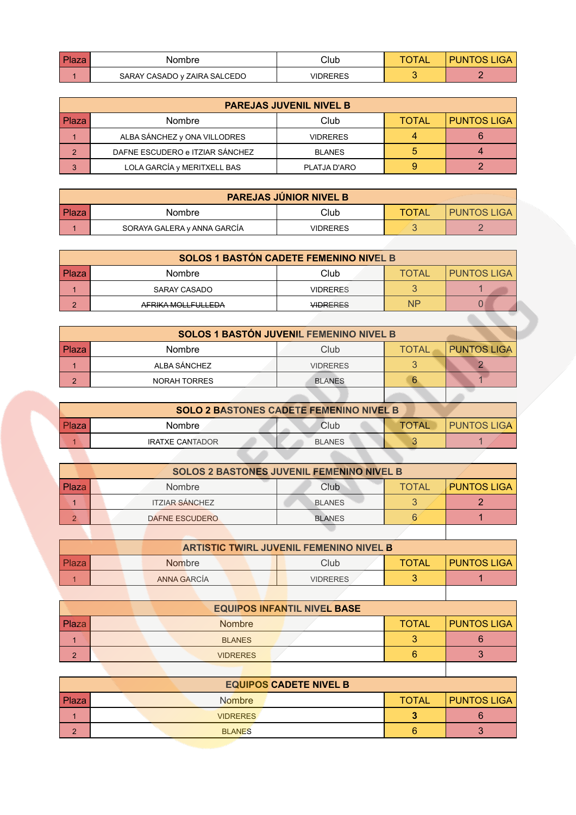| Plaza | Nombre                       | Club     | <b>PUNTOS LIGA</b> |  |
|-------|------------------------------|----------|--------------------|--|
|       | SARAY CASADO y ZAIRA SALCEDO | VIDRERES |                    |  |

| <b>PAREJAS JUVENIL NIVEL B</b> |                                 |                 |                    |  |  |  |  |
|--------------------------------|---------------------------------|-----------------|--------------------|--|--|--|--|
| Plaza                          | <b>Nombre</b>                   | <b>TOTAL</b>    | <b>PUNTOS LIGA</b> |  |  |  |  |
|                                | ALBA SÁNCHEZ y ONA VILLODRES    | <b>VIDRERES</b> |                    |  |  |  |  |
| っ                              | DAFNE ESCUDERO e ITZIAR SÁNCHEZ | <b>BLANES</b>   | 5                  |  |  |  |  |
| 3                              | LOLA GARCÍA y MERITXELL BAS     | PLATJA D'ARO    | 9                  |  |  |  |  |

| <b>PAREJAS JÚNIOR NIVEL B</b> |                             |                 |       |                    |  |  |
|-------------------------------|-----------------------------|-----------------|-------|--------------------|--|--|
| <b>Plaza</b>                  | Nombre                      | Club            | TOTAL | <b>PUNTOS LIGA</b> |  |  |
|                               | SORAYA GALERA y ANNA GARCÍA | <b>VIDRERES</b> |       |                    |  |  |

| <b>SOLOS 1 BASTÓN CADETE FEMENINO NIVEL B</b> |                    |                 |              |                    |  |  |
|-----------------------------------------------|--------------------|-----------------|--------------|--------------------|--|--|
| Plaza                                         | <b>Nombre</b>      | Club            | <b>TOTAL</b> | <b>PUNTOS LIGA</b> |  |  |
|                                               | SARAY CASADO       | <b>VIDRERES</b> |              |                    |  |  |
| $\sqrt{2}$                                    | AFRIKA MOLLFULLEDA | <b>VIDRERES</b> | <b>NP</b>    |                    |  |  |

| SOLOS 1 BASTÓN JUVENIL FEMENINO NIVEL B |                     |                 |              |                    |  |
|-----------------------------------------|---------------------|-----------------|--------------|--------------------|--|
| Plaza                                   | <b>Nombre</b>       | Club            | <b>TOTAL</b> | <b>PUNTOS LIGA</b> |  |
|                                         | ALBA SÁNCHEZ        | <b>VIDRERES</b> |              |                    |  |
| $\Omega$                                | <b>NORAH TORRES</b> | <b>BLANES</b>   |              |                    |  |
|                                         |                     |                 |              |                    |  |

| <b>SOLO 2 BASTONES CADETE FEMENINO NIVEL B</b> |                        |               |              |                    |  |  |
|------------------------------------------------|------------------------|---------------|--------------|--------------------|--|--|
| <b>Plaza</b>                                   | <b>Nombre</b>          | Club          | <b>TOTAL</b> | <b>PUNTOS LIGA</b> |  |  |
|                                                | <b>IRATXE CANTADOR</b> | <b>BLANES</b> |              |                    |  |  |

|       | <b>SOLOS 2 BASTONES JUVENIL FEMENINO NIVEL B</b> |                       |               |              |                    |  |  |
|-------|--------------------------------------------------|-----------------------|---------------|--------------|--------------------|--|--|
| Plaza |                                                  | <b>Nombre</b>         | Club          | <b>TOTAL</b> | <b>PUNTOS LIGA</b> |  |  |
|       |                                                  | <b>ITZIAR SÁNCHEZ</b> | <b>BLANES</b> |              |                    |  |  |
|       |                                                  | <b>DAFNE ESCUDERO</b> | <b>BLANES</b> |              |                    |  |  |
|       |                                                  |                       |               |              |                    |  |  |

|         | <b>ARTISTIC TWIRL JUVENIL FEMENINO NIVEL B</b> |  |               |  |                 |              |                    |
|---------|------------------------------------------------|--|---------------|--|-----------------|--------------|--------------------|
| l Plaza |                                                |  | <b>Nombre</b> |  | Club            | <b>TOTAL</b> | <b>PUNTOS LIGA</b> |
|         |                                                |  | ANNA GARCÍA   |  | <b>VIDRERES</b> |              |                    |
|         |                                                |  |               |  |                 |              |                    |

| <b>EQUIPOS INFANTIL NIVEL BASE</b> |  |                 |              |                    |  |  |
|------------------------------------|--|-----------------|--------------|--------------------|--|--|
| <b>Plaza</b>                       |  | <b>Nombre</b>   | <b>TOTAL</b> | <b>PUNTOS LIGA</b> |  |  |
|                                    |  | <b>BLANES</b>   |              |                    |  |  |
| $\sqrt{2}$<br>c                    |  | <b>VIDRERES</b> | 6            |                    |  |  |

|               | <b>EQUIPOS CADETE NIVEL B</b> |              |                    |
|---------------|-------------------------------|--------------|--------------------|
| Plaza         | <b>Nombre</b>                 | <b>TOTAL</b> | <b>PUNTOS LIGA</b> |
|               | <b>VIDRERES</b>               |              |                    |
| $\Omega$<br>- | <b>BLANES</b>                 |              |                    |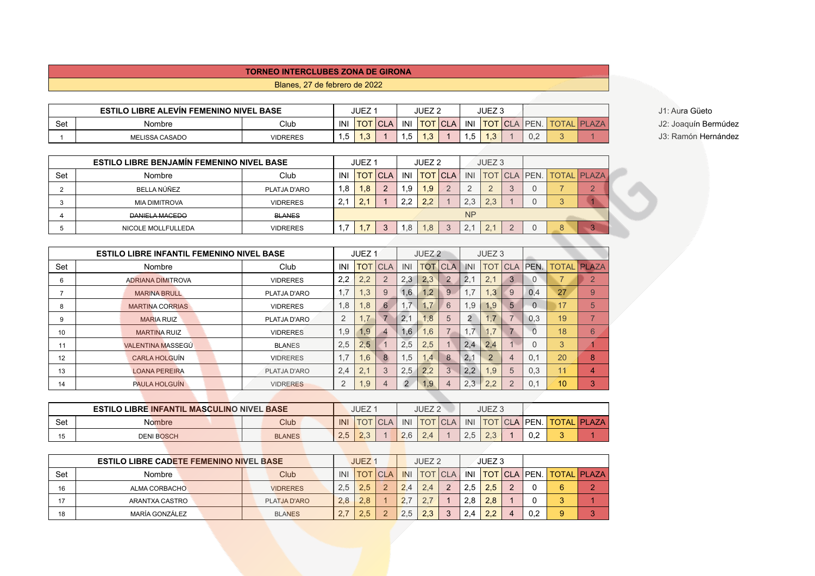## **TORNEO INTERCLUBES ZONA DE GIRONA**

Blanes, 27 de febrero de 2022

|     | <b>ESTILO LIBRE ALEVIN FEMENINO NIVEL BASE</b> |                 |      | <b>JUEZ</b> |                                |     | JUEZ <sub>2</sub> |             |      | JUEZ 3             |     |              | J1: Aura Güeto  |
|-----|------------------------------------------------|-----------------|------|-------------|--------------------------------|-----|-------------------|-------------|------|--------------------|-----|--------------|-----------------|
| Set | Nombre                                         | Club            | INI  | <b>TOT</b>  | 101 <sup>2</sup><br><b>CLA</b> | INI | <b>TOT</b>        | <b>ICLA</b> | INI  | <b>TOT CLA PEN</b> |     | <b>PLAZA</b> | J2: Joaquín Ber |
|     | <b>MELISSA CASADO</b>                          | <b>VIDRERES</b> | ن, ا |             |                                | ب   | . ت               |             | ر. ا | $\cdot\cdot$       | 0.2 |              | : Ramón Herr    |

J2: Joaquín Bermúdez J3: Ramón Hernández

|     | <b>ESTILO LIBRE BENJAMIN FEMENINO NIVEL BASE</b> |                 |     | JUEZ <sub>1</sub> |             |     | JUEZ <sub>2</sub> |           | JUEZ <sub>3</sub> |              |   |                    |
|-----|--------------------------------------------------|-----------------|-----|-------------------|-------------|-----|-------------------|-----------|-------------------|--------------|---|--------------------|
| Set | Nombre                                           | Club            | IN  | <b>TOT</b>        | <b>ICLA</b> | INI | <b>TOT CLA</b>    | INI       |                   | TOT CLA PEN. |   | <b>TOTAL PLAZA</b> |
|     | BELLA NÚÑEZ                                      | PLATJA D'ARO    | 1,8 | .8 <sub>1</sub>   | C           | .9  | 1.9               |           |                   |              |   | $\sqrt{2}$         |
|     | <b>MIA DIMITROVA</b>                             | <b>VIDRERES</b> | 2.1 | 2.1               |             | 2.2 | 2.2               | 2.3       | 2.3               |              |   |                    |
|     | DANIELA MACEDO                                   | <b>BLANES</b>   |     |                   |             |     |                   | <b>NP</b> |                   |              |   |                    |
|     | NICOLE MOLLFULLEDA                               | <b>VIDRERES</b> |     |                   | ≏           | 8.  | 1.8               | 2.1       | 2.                |              | 8 |                    |

|     | <b>ESTILO LIBRE INFANTIL FEMENINO NIVEL BASE</b> |                 |                | JUEZ <sub>1</sub> |                |               | JUEZ <sub>2</sub> |            |                | JUEZ <sub>3</sub> |            |                 |    |                    |
|-----|--------------------------------------------------|-----------------|----------------|-------------------|----------------|---------------|-------------------|------------|----------------|-------------------|------------|-----------------|----|--------------------|
| Set | Nombre                                           | Club            | INI            | TOT               | <b>CLA</b>     | INI           | TOT               | <b>CLA</b> | INI            | TOT               | <b>CLA</b> | <b>PEN.</b>     |    | <b>TOTAL PLAZA</b> |
| 6   | <b>ADRIANA DIMITROVA</b>                         | <b>VIDRERES</b> | 2,2            | 2,2               | $\overline{2}$ | 2,3           | 2,3               |            | 2,1            | 2.1               | 3          |                 |    | $\overline{2}$     |
| ⇁   | <b>MARINA BRULL</b>                              | PLATJA D'ARO    | 1,7            | 1,3               | 9              | 1,6           | $\cdot$           |            | 1,7            | .3                | 9          | 0.4             | 27 | 9                  |
| 8   | <b>MARTINA CORRIAS</b>                           | <b>VIDRERES</b> | 1,8            | 8,1               | 6              |               | $\overline{z}$    | 6          | 1,9            | .9                | 5          |                 | 17 | 5                  |
| 9   | <b>MARIA RUIZ</b>                                | PLATJA D'ARO    | $\overline{2}$ | 1,7               |                | 2.1           | .8                | 5          | $\overline{2}$ | .7                |            | 0.3             | 19 | ⇁                  |
| 10  | <b>MARTINA RUIZ</b>                              | <b>VIDRERES</b> | 1,9            | 1,9               |                | 1.6           | .6                |            | 1,7            |                   |            |                 | 18 | 6                  |
| 11  | <b>VALENTINA MASSEGÚ</b>                         | <b>BLANES</b>   | 2,5            | 2,5               |                | 2.5           | 2.5               |            | 2,4            | 2,4               |            |                 | 3  |                    |
| 12  | <b>CARLA HOLGUÍN</b>                             | <b>VIDRERES</b> | 1.7            | 1,6               | 8              | .5            | .4                | 8          | 2,1            | $\overline{2}$    |            | $\setminus 0$ , | 20 | 8                  |
| 13  | <b>LOANA PEREIRA</b>                             | PLATJA D'ARO    | 2,4            | 2,1               | 3              | 2,5           | 2,2               | 3          | 2,2            | .9                | 5          | 0.3             | 11 | $\overline{4}$     |
| 14  | <b>PAULA HOLGUÍN</b>                             | <b>VIDRERES</b> | $\overline{2}$ | $\overline{.9}$   | 4              | $\mathcal{D}$ | .9                |            | 2,3            | 2,2               | $\Omega$   | 0.1             | 10 | 3                  |

|     | <b>ESTILO LIBRE INFANTIL MASCULINO NIVEL BASE</b> |               |     | <b>JUEZ</b> |     | JUEZ <sub>2</sub> |             |                         | JUEZ <sub>3</sub> |            |               |              |               |
|-----|---------------------------------------------------|---------------|-----|-------------|-----|-------------------|-------------|-------------------------|-------------------|------------|---------------|--------------|---------------|
| Set | <b>Nombre</b>                                     | Club          | INI | <b>TOT</b>  | INI |                   | r I Cl<br>Δ | INI                     | <b>TOT</b>        | <b>ICL</b> | A IPEN.       | <b>TOTAL</b> | <b>IPLAZA</b> |
|     | <b>DENI BOSCH</b>                                 | <b>BLANES</b> | 2.5 | $\sim$      | 2.6 | $\leftarrow$      |             | $\sim$ $\sim$<br>$\sim$ | $\sim$            |            | $\sim$<br>v.z |              |               |

|     | <b>ESTILO LIBRE CADETE FEMENINO NIVEL BASE</b> |                 |                 | <b>JUEZ1</b> |             |     | JUEZ <sub>2</sub> |                      | JUEZ <sub>3</sub> |    |                                 |  |
|-----|------------------------------------------------|-----------------|-----------------|--------------|-------------|-----|-------------------|----------------------|-------------------|----|---------------------------------|--|
| Set | Nombre                                         | Club            | INI             | <b>ITOT</b>  | <b>ICLA</b> | INI | <b>TOT</b>        | INI                  |                   |    | <b>TOT CLA PEN. TOTAL PLAZA</b> |  |
| 16  | ALMA CORBACHO                                  | <b>VIDRERES</b> | 2.5             | 2.5          | $\sqrt{2}$  |     | 2.4               | 2.5                  | 2,5               |    |                                 |  |
| 17  | ARANTXA CASTRO                                 | PLATJA D'ARO    | 2.8             | 2.8          |             | 2.  |                   | 2.8                  | 2,8               |    |                                 |  |
| 18  | MARÍA GONZÁLEZ                                 | <b>BLANES</b>   | $\mathcal{L}$ . | 2.5          |             |     | າາ                | っ<br>$\sim$ . $\sim$ | $\Omega$          | ΩΩ | 9                               |  |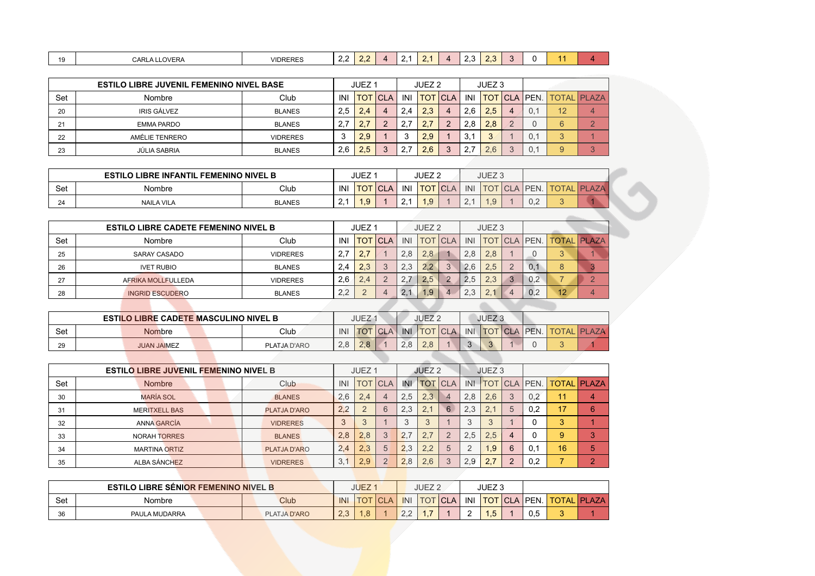| 10<br>$\sim$ | <b>LLOVERA</b><br>CARLA <sup>'</sup> | <b>VIDRERES</b> | . .<br><u>_ _</u> | $\sim$ | 71 | . . | $\overline{\phantom{a}}$ | $\sim$<br>. .<br>ں, ے | $\sim$<br>ر . | $\sim$ | . . |  |
|--------------|--------------------------------------|-----------------|-------------------|--------|----|-----|--------------------------|-----------------------|---------------|--------|-----|--|
|              |                                      |                 |                   |        |    |     |                          |                       |               |        |     |  |

|          | <b>ESTILO LIBRE JUVENIL FEMENINO NIVEL BASE</b> |                 |            | JUEZ <sub>1</sub> |             |          | JUEZ <sub>2</sub> |                  |     | JUEZ <sub>3</sub> |   |                        |          |                    |
|----------|-------------------------------------------------|-----------------|------------|-------------------|-------------|----------|-------------------|------------------|-----|-------------------|---|------------------------|----------|--------------------|
| Set      | Nombre                                          | Club            | <b>INI</b> | <b>TOT</b>        | <b>ICLA</b> | INI      |                   | <b>ITOT ICLA</b> | INI |                   |   | <u>ITOT ICLA IPEN.</u> |          | <b>TOTAL PLAZA</b> |
| 20       | <b>IRIS GÁLVEZ</b>                              | <b>BLANES</b>   | 2,5        | 2.4               | 4           | 2.4      | 2.3               | 4                | 2.6 | 2.5               | 4 |                        | 12       |                    |
| 21       | <b>EMMA PARDO</b>                               | <b>BLANES</b>   | 2.7        |                   |             | <u>.</u> | 2.                | $\sqrt{2}$       | 2.8 | 2.8               |   |                        | 6        |                    |
| つつ<br>∠∠ | AMÉLIE TENRERO                                  | <b>VIDRERES</b> | 3          | 2,9               |             |          | 2.9               |                  | 3.1 |                   |   | U.                     | $\Omega$ |                    |
| 23       | JÚLIA SABRIA                                    | <b>BLANES</b>   | 2,6        | 2.5               |             | <u>.</u> | つに                | c                |     | 6                 |   |                        | 9        |                    |

|     | <b>ESTILO</b><br><b>LIBRE INFANTIL FEMENINO NIVEL B</b> |               |          | JUEZ  |            |     | JUEZ <sub>2</sub> |        |        | JUEZ <sub>3</sub> |                  |                    |   |                  |
|-----|---------------------------------------------------------|---------------|----------|-------|------------|-----|-------------------|--------|--------|-------------------|------------------|--------------------|---|------------------|
| Set | Nombre                                                  | Club          | INI      | ∣ ∪ I | <b>CLA</b> | INI | <b>TOT</b>        | $\sim$ | INI    | ◡                 | ICL<br>$\Lambda$ | <b>IPEN.</b>       |   | DI<br><b>AZA</b> |
| 24  | <b>NAILA VILA</b>                                       | <b>BLANES</b> | <u>.</u> | $-1$  |            |     | 1.9               |        | $\sim$ | $\sim$            |                  | $\cup$ . $\subset$ | ີ |                  |

|     | <b>ESTILO LIBRE CADETE FEMENINO NIVEL B</b> |                 |     | JUEZ <sub>1</sub> |            |     | JUEZ <sub>2</sub> |            |     | JUEZ <sub>3</sub> |     |                            |          |
|-----|---------------------------------------------|-----------------|-----|-------------------|------------|-----|-------------------|------------|-----|-------------------|-----|----------------------------|----------|
| Set | Nombre                                      | Club            | INI | тот               | <b>CLA</b> | INI | TOT l             | <b>CLA</b> | INI | <b>TOT</b>        |     | CLA   PEN.   TOTAL   PLAZA |          |
| 25  | SARAY CASADO                                | <b>VIDRERES</b> | 2,7 | 2,7               |            | 2.8 | 2.8               |            | 2,8 | 2,8               |     | 3                          |          |
| 26  | <b>IVET RUBIO</b>                           | <b>BLANES</b>   | 2,4 | 2.3               | ◡          | 2.3 | 2.2               |            | 2.6 | 2.5               | 0.1 | 8                          |          |
| 27  | AFRIKA MOLLFULLEDA                          | <b>VIDRERES</b> | 2,6 | 2.4               |            | 2.1 | 2.5               |            | 2.5 | 2.3               | 0.2 |                            | $\Omega$ |
| 28  | <b>INGRID ESCUDERO</b>                      | <b>BLANES</b>   | 2,2 | $\Omega$          | 4          | 2.  | .9                |            | 2,3 | 2.7               | 0.2 | 12                         | 4        |
|     |                                             |                 |     |                   |            |     |                   |            |     |                   |     |                            |          |

|     | <b>ESTILO LIBRE CADETE MASCULINO NIVEL B</b> |                     |     | JUEZ        |     |     | JUEZ <sub>2</sub>   |  | JUEZ <sub>3</sub> |                 |                    |
|-----|----------------------------------------------|---------------------|-----|-------------|-----|-----|---------------------|--|-------------------|-----------------|--------------------|
| Set | <b>Nombre</b>                                | Club                | INI | <b>ITOT</b> | CLA | INI | TOT CLA I INI TOT I |  |                   | <b>CLA PEN.</b> | <b>TOTAL PLAZA</b> |
| 29  | <b>JUAN JAIMEZ</b>                           | <b>PLATJA D'ARO</b> | 2.8 | 2.8         |     | 2.8 | 2.8                 |  |                   |                 |                    |
|     |                                              |                     |     |             |     |     |                     |  |                   |                 |                    |

|     | <b>ESTILO LIBRE JUVENIL FEMENINO NIVEL B</b> |                 |     | JUEZ <sub>1</sub> |                |     | JUEZ <sub>2</sub> |            |                | JUEZ <sub>3</sub>               |   |                  |                    |                |
|-----|----------------------------------------------|-----------------|-----|-------------------|----------------|-----|-------------------|------------|----------------|---------------------------------|---|------------------|--------------------|----------------|
| Set | <b>Nombre</b>                                | Club            | IN  | <b>TOT</b>        | <b>CLA</b>     | INI | <b>TOT</b>        | <b>CLA</b> | INI            | тот                             |   | <b>ICLA PEN.</b> | <b>TOTAL PLAZA</b> |                |
| 30  | MARÍA SOL                                    | <b>BLANES</b>   | 2,6 | 2,4               | $\overline{4}$ | 2.5 | 2.3               | $\Delta$   | 2.8            | 2.6                             |   | 0.2              |                    | $\overline{4}$ |
| 31  | <b>MERITXELL BAS</b>                         | PLATJA D'ARO    | 2,2 |                   | 6              | 2.3 | 2.1               | 6          | 2.3            | 2.1                             | 5 | 0.2              | 17                 | 6              |
| 32  | <b>ANNA GARCÍA</b>                           | <b>VIDRERES</b> | 3   | 3                 |                |     |                   |            | 3              | п.                              |   |                  | 3                  |                |
| 33  | <b>NORAH TORRES</b>                          | <b>BLANES</b>   | 2,8 | 2,8               | 3              | 2,7 | 2.1               | $\Omega$   | 2.5            | 2.5                             | 4 |                  | 9                  | 3              |
| 34  | <b>MARTINA ORTIZ</b>                         | PLATJA D'ARO    | 2,4 | 2,3               | 5              | 2,3 | 2.2               | 5          | $\overline{2}$ | 1.9                             | 6 | 0.1              | 16                 | 5              |
| 35  | ALBA SÁNCHEZ                                 | <b>VIDRERES</b> | 3,1 | 2.9               | $\Omega$       | 2.8 | 2.6               | 3          | 2.9            | $\overline{\phantom{0}}$<br>2.7 |   | 0.2              |                    | $\overline{ }$ |

|     | <b>ESTILO LIBRE SENIOR FEMENINO NIVEL B</b> |  |                     |                  | <b>JUEZ</b>   |                     |                 | JUEZ <sub>2</sub> |       |     | JUEZ <sub>3</sub> |                          |              |               |
|-----|---------------------------------------------|--|---------------------|------------------|---------------|---------------------|-----------------|-------------------|-------|-----|-------------------|--------------------------|--------------|---------------|
| Set | Nombre                                      |  | <b>Club</b>         | <b>INI</b>       |               | $\bigcap$ $\bigcap$ | <b>INI</b>      | <b>TOT</b>        | l CLA | INI |                   | <u>ITOT   CLA   PEN.</u> | <b>TOTAL</b> | <b>IPLAZA</b> |
| 36  | PAULA MUDARRA                               |  | <b>PLATJA D'ARO</b> | $\cap$<br>$\sim$ | $\circ$<br>.О |                     | $\sim$ . $\sim$ |                   |       |     | . J               | 0.5                      |              |               |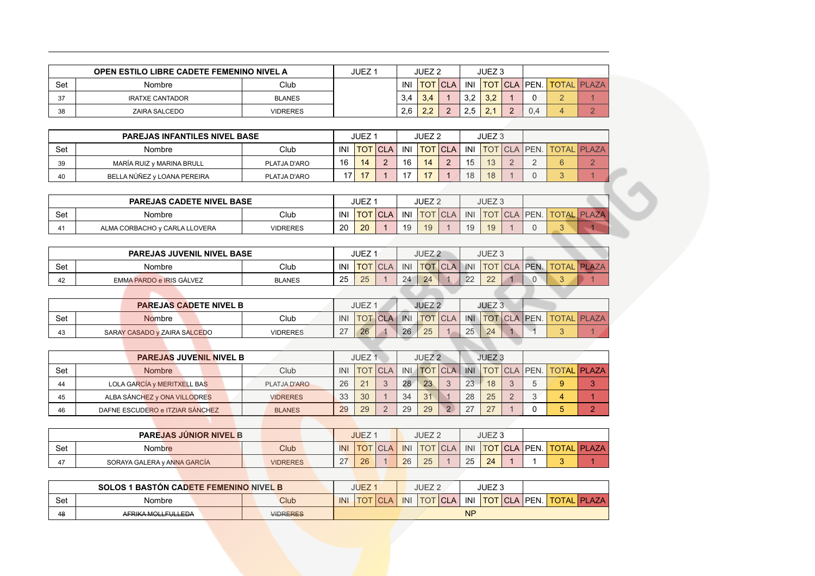|           | <b>OPEN ESTILO LIBRE CADETE FEMENINO NIVEL A</b> |                 | JUEZ 1 |            | JUEZ <sub>2</sub> |            |           | JUEZ <sub>3</sub>         |                |     |                          |  |
|-----------|--------------------------------------------------|-----------------|--------|------------|-------------------|------------|-----------|---------------------------|----------------|-----|--------------------------|--|
| Set       | <b>Nombre</b>                                    | Club            |        | <b>INI</b> | тот               | <b>CLA</b> | INI       |                           | <b>TOT CLA</b> |     | <b>IPEN. TOTAL PLAZA</b> |  |
| 27<br>ູບ≀ | <b>IRATXE CANTADOR</b>                           | <b>BLANES</b>   |        | 3.4        | 3.4               |            | っっ<br>◡.← | $\Omega$<br>$\mathcal{L}$ |                |     |                          |  |
| 38        | ZAIRA SALCEDO                                    | <b>VIDRERES</b> |        | 2,6        | າາ<br>$\sim$      |            |           | ~                         |                | ∪.− |                          |  |

|     | <b>PAREJAS INFANTILES NIVEL BASE</b> |              |     | JUEZ <sup>2</sup> |             |                | JUEZ <sub>2</sub> |                |     | JUEZ 3    |  |                                 |  |
|-----|--------------------------------------|--------------|-----|-------------------|-------------|----------------|-------------------|----------------|-----|-----------|--|---------------------------------|--|
| Set | Nombre                               | Club         | INI | <b>TOT</b>        | <b>ICLA</b> | INI            |                   | <b>TOT CLA</b> | INI |           |  | <b>TOT CLA PEN. TOTAL PLAZA</b> |  |
| 39  | MARÍA RUIZ y MARINA BRULL            | PLATJA D'ARO | 16  | 14                |             | 16             | 14                | $\sqrt{2}$     | 15  | $\Lambda$ |  | U                               |  |
| 40  | BELLA NÚÑEZ V LOANA PEREIRA          | PLATJA D'ARO | 17  |                   |             | $\overline{a}$ |                   |                | 18  | 18        |  | ີ                               |  |

|     | <b>PAREJAS CADETE NIVEL BASE</b> |                 |     | JUEZ       |            |         | JUEZ <sub>2</sub> |            |     | JUEZ <sub>3</sub> |      |          |              |               |
|-----|----------------------------------|-----------------|-----|------------|------------|---------|-------------------|------------|-----|-------------------|------|----------|--------------|---------------|
| Set | Nombre                           | Club            | INI | <b>TOT</b> | <b>CLA</b> | INI     | <b>TOT</b>        | <b>CLA</b> | INI | <b>TOT</b>        | TCLA | LA IPEN. | <b>TOTAL</b> | <b>IPLAZA</b> |
| 41  | ALMA CORBACHO y CARLA LLOVERA    | <b>VIDRERES</b> | 20  | 20         |            | 10<br>◡ | 1 <sup>C</sup>    |            | 19  | 10                |      |          |              |               |

|     | <b>PAREJAS JUVENIL NIVEL BASE</b> |               |     | <b>JUEZ</b>    |     | JUEZ <sub>2</sub> |              | JUEZ <sub>3</sub>      |                                 |                    |
|-----|-----------------------------------|---------------|-----|----------------|-----|-------------------|--------------|------------------------|---------------------------------|--------------------|
| Set | Nombre                            | Club          | INI | <b>TOT</b> CLA | INI |                   |              |                        | <b>TOT CLA INI TOT CLA PEN.</b> | <b>TOTAL PLAZA</b> |
| 42  | EMMA PARDO e IRIS GÁLVEZ          | <b>BLANES</b> | 25  | 25             | 24  | 24                | $\cap$<br>LL | $\cap$<br>$\leftarrow$ |                                 |                    |
|     |                                   |               |     |                |     |                   |              |                        |                                 |                    |

|     | <b>PAREJAS CADETE NIVEL B</b> |                 |     | <b>JUEZ</b> |            |     | JUEZ <sub>2</sub> |     |     | JUEZ <sub>3</sub> |  |                                 |  |
|-----|-------------------------------|-----------------|-----|-------------|------------|-----|-------------------|-----|-----|-------------------|--|---------------------------------|--|
| Set | <b>Nombre</b>                 | Club            | INI | <b>TOT</b>  | <b>CLA</b> | INI | <b>TOT</b>        | CLA | INI |                   |  | <b>TOT CLA PEN. TOTAL PLAZA</b> |  |
| 43  | SARAY CASADO y ZAIRA SALCEDO  | <b>VIDRERES</b> | 27  | 26          |            | 26  | 25                |     | 25  | 24                |  |                                 |  |
|     |                               |                 |     |             |            |     |                   |     |     |                   |  |                                 |  |

|     | <b>PAREJAS JUVENIL NIVEL B</b>  |                     |     | JUEZ <sub>1</sub> |                |            | JUEZ <sub>2</sub> |                |            | JUEZ <sub>3</sub> |  |                          |  |
|-----|---------------------------------|---------------------|-----|-------------------|----------------|------------|-------------------|----------------|------------|-------------------|--|--------------------------|--|
| Set | <b>Nombre</b>                   | Club                | INI |                   | <b>TOT CLA</b> | <b>INI</b> |                   | <b>TOT CLA</b> | <b>INI</b> |                   |  | TOT CLA PEN. TOTAL PLAZA |  |
| 44  | LOLA GARCÍA y MERITXELL BAS     | <b>PLATJA D'ARO</b> | 26  | 21                | $\circ$        | 28         | 23                | $\mathbf{z}$   | 23         | 18                |  | 9                        |  |
| 45  | ALBA SÁNCHEZ y ONA VILLODRES    | <b>VIDRERES</b>     | 33  | 30                |                | 34         | 31                |                | 28         | 25                |  |                          |  |
| 46  | DAFNE ESCUDERO e ITZIAR SÁNCHEZ | <b>BLANES</b>       | 29  | 29                |                | 29         | 29                | $\Omega$       | 27         | 27                |  | 5                        |  |
|     |                                 |                     |     |                   |                |            |                   |                |            |                   |  |                          |  |

|     |                             | <b>PAREJAS JUNIOR NIVEL B</b> |                 |                    | <b>JUEZ</b> |            |     | JUEZ <sub>2</sub> |            |     | JUEZ <sub>3</sub> |         |  |                                  |
|-----|-----------------------------|-------------------------------|-----------------|--------------------|-------------|------------|-----|-------------------|------------|-----|-------------------|---------|--|----------------------------------|
| Set | Nombre                      |                               | Club            | INI                |             | <b>CLA</b> | INI | <b>TOT</b>        | <b>CLA</b> | INI |                   | TOTICLA |  | <u>\   PEN.   TOTAL   PLAZA_</u> |
| 47  | SORAYA GALERA y ANNA GARCÍA |                               | <b>VIDRERES</b> | $\sim$<br><u>_</u> | 26          |            | 26  | つに<br>$\sim$      |            | 25  | 24                |         |  |                                  |

|     | <b>SOLOS 1 BASTON CADETE FEMENINO NIVEL B</b><br>Nombre |  |                 |     | <b>JUEZ</b> |             |     | JUEZ <sub>2</sub> |             |           | JUEZ <sub>3</sub> |                        |              |               |
|-----|---------------------------------------------------------|--|-----------------|-----|-------------|-------------|-----|-------------------|-------------|-----------|-------------------|------------------------|--------------|---------------|
| Set |                                                         |  | Club            | INI | <b>TOT</b>  | <b>ICLA</b> | INI | <b>TOT</b>        | <b>ICLA</b> | INI       |                   | <u>ITOT ICLA IPEN.</u> | <b>TOTAL</b> | <b>IPLAZA</b> |
| 48  | AFRIKA MOLLFULLEDA                                      |  | <b>VIDRERES</b> |     |             |             |     |                   |             | <b>NP</b> |                   |                        |              |               |